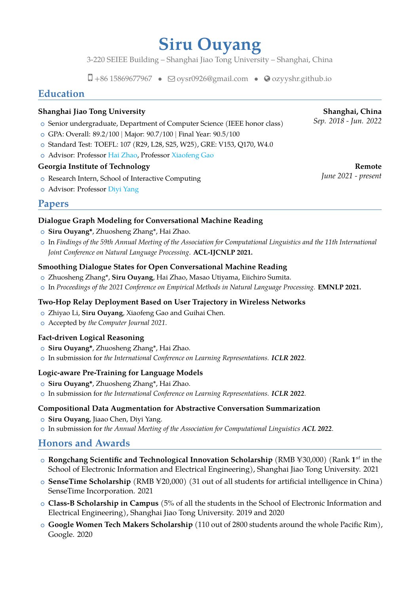# **Siru Ouyang**

3-220 SEIEE Building – Shanghai Jiao Tong University – Shanghai, China

 $\Box$  +86 15869677967 •  $\Box$  [oysr0926@gmail.com](mailto:oysr0926@gmail.com) •  $\odot$  [ozyyshr.github.io](http://ozyyshr.github.io)

## **Education**

#### **Shanghai Jiao Tong University Shanghai, China**

- **Sep. 2018 Jun. 2022** Senior undergraduate, Department of Computer Science (IEEE honor class)
- o GPA: Overall: 89.2/100 | Major: 90.7/100 | Final Year: 90.5/100
- o Standard Test: TOEFL: 107 (R29, L28, S25, W25), GRE: V153, Q170, W4.0
- o Advisor: Professor [Hai Zhao,](https://bcmi.sjtu.edu.cn/~zhaohai/) Professor [Xiaofeng Gao](https://www.cs.sjtu.edu.cn/~gao-xf/)

#### **Georgia Institute of Technology Remote**

- *O* Research Intern, School of Interactive Computing *June 2021 present*
- o Advisor: Professor [Diyi Yang](https://www.cc.gatech.edu/~dyang888/)

### **Papers**

#### **Dialogue Graph Modeling for Conversational Machine Reading**

- <sup>+</sup> **Siru Ouyang\***, Zhuosheng Zhang\*, Hai Zhao.
- <sup>+</sup> In *Findings of the 59th Annual Meeting of the Association for Computational Linguistics and the 11th International Joint Conference on Natural Language Processing*. **ACL-IJCNLP 2021.**

#### **Smoothing Dialogue States for Open Conversational Machine Reading**

- o Zhuosheng Zhang\*, Siru Ouyang, Hai Zhao, Masao Utiyama, Eiichiro Sumita.
- <sup>+</sup> In *Proceedings of the 2021 Conference on Empirical Methods in Natural Language Processing.* **EMNLP 2021.**

#### **Two-Hop Relay Deployment Based on User Trajectory in Wireless Networks**

- <sup>+</sup> Zhiyao Li, **Siru Ouyang**, Xiaofeng Gao and Guihai Chen.
- <sup>+</sup> Accepted by *the Computer Journal 2021*.

#### **Fact-driven Logical Reasoning**

- <sup>+</sup> **Siru Ouyang\***, Zhuosheng Zhang\*, Hai Zhao.
- <sup>+</sup> In submission for *the International Conference on Learning Representations. ICLR 2022*.

#### **Logic-aware Pre-Training for Language Models**

- <sup>+</sup> **Siru Ouyang\***, Zhuosheng Zhang\*, Hai Zhao.
- <sup>+</sup> In submission for *the International Conference on Learning Representations. ICLR 2022*.

#### **Compositional Data Augmentation for Abstractive Conversation Summarization**

- **o Siru Ouyang**, Jiaao Chen, Diyi Yang.
- <sup>+</sup> In submission for *the Annual Meeting of the Association for Computational Linguistics ACL 2022*.

### **Honors and Awards**

- $\circ$  <code>Rongchang Scientific and Technological Innovation Scholarship</code> (RMB ¥30,000) (Rank  $\mathbf{1}^{st}$  in the School of Electronic Information and Electrical Engineering), Shanghai Jiao Tong University. 2021
- $\circ$  **SenseTime Scholarship** (RMB ¥20,000) (31 out of all students for artificial intelligence in China) SenseTime Incorporation. 2021
- <sup>+</sup> **Class-B Scholarship in Campus** (5% of all the students in the School of Electronic Information and Electrical Engineering), Shanghai Jiao Tong University. 2019 and 2020
- <sup>+</sup> **Google Women Tech Makers Scholarship** (110 out of 2800 students around the whole Pacific Rim), Google. 2020